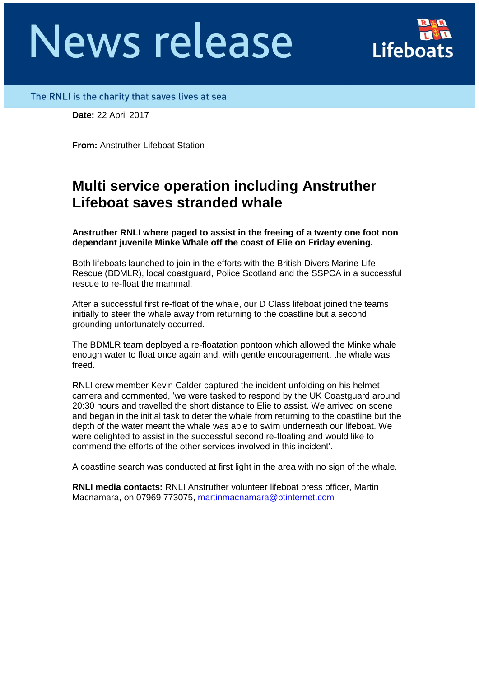# **News release**

## The RNLI is the charity that saves lives at sea

**Date:** 22 April 2017

**From:** Anstruther Lifeboat Station

## **Multi service operation including Anstruther Lifeboat saves stranded whale**

**Anstruther RNLI where paged to assist in the freeing of a twenty one foot non dependant juvenile Minke Whale off the coast of Elie on Friday evening.**

Both lifeboats launched to join in the efforts with the British Divers Marine Life Rescue (BDMLR), local coastguard, Police Scotland and the SSPCA in a successful rescue to re-float the mammal.

After a successful first re-float of the whale, our D Class lifeboat joined the teams initially to steer the whale away from returning to the coastline but a second grounding unfortunately occurred.

The BDMLR team deployed a re-floatation pontoon which allowed the Minke whale enough water to float once again and, with gentle encouragement, the whale was freed.

RNLI crew member Kevin Calder captured the incident unfolding on his helmet camera and commented, 'we were tasked to respond by the UK Coastguard around 20:30 hours and travelled the short distance to Elie to assist. We arrived on scene and began in the initial task to deter the whale from returning to the coastline but the depth of the water meant the whale was able to swim underneath our lifeboat. We were delighted to assist in the successful second re-floating and would like to commend the efforts of the other services involved in this incident'.

A coastline search was conducted at first light in the area with no sign of the whale.

**RNLI media contacts:** RNLI Anstruther volunteer lifeboat press officer, Martin Macnamara, on 07969 773075, [martinmacnamara@btinternet.com](mailto:martinmacnamara@btinternet.com)